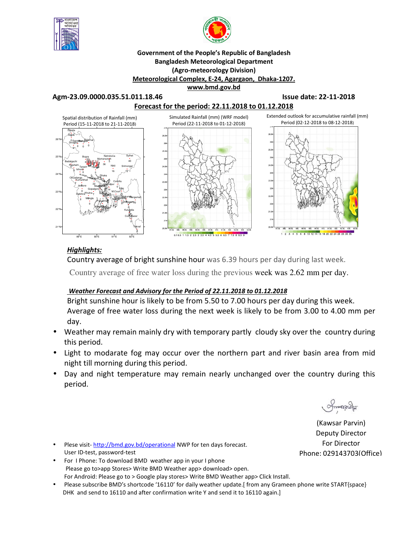



#### **Government of the People's Republic of Bangladesh Bangladesh Meteorological Department (Agro-meteorology Division) Meteorological Complex, E-24, Agargaon, Dhaka-1207. www.bmd.gov.bd**

**Agm-23.09.0000.035.51.011.18.46 Issue date: 22-11-2018** 



## *Highlights:*

Country average of bright sunshine hour was 6.39 hours per day during last week.

Country average of free water loss during the previous week was 2.62 mm per day.

## *Weather Forecast and Advisory for the Period of 22.11.2018 to 01.12.2018*

Bright sunshine hour is likely to be from 5.50 to 7.00 hours per day during this week. Average of free water loss during the next week is likely to be from 3.00 to 4.00 mm per day.

- Weather may remain mainly dry with temporary partly cloudy sky over the country during this period.
- Light to modarate fog may occur over the northern part and river basin area from mid night till morning during this period.
- Day and night temperature may remain nearly unchanged over the country during this period.

 $\sim$ 

(Kawsar Parvin) Deputy Director For Director Phone: 029143703(Office)

- Plese visit-http://bmd.gov.bd/operational NWP for ten days forecast. User ID-test, password-test
- For I Phone: To download BMD weather app in your I phone Please go to>app Stores> Write BMD Weather app> download> open. For Android: Please go to > Google play stores> Write BMD Weather app> Click Install.
- Please subscribe BMD's shortcode '16110' for daily weather update.[ from any Grameen phone write START{space} DHK and send to 16110 and after confirmation write Y and send it to 16110 again.]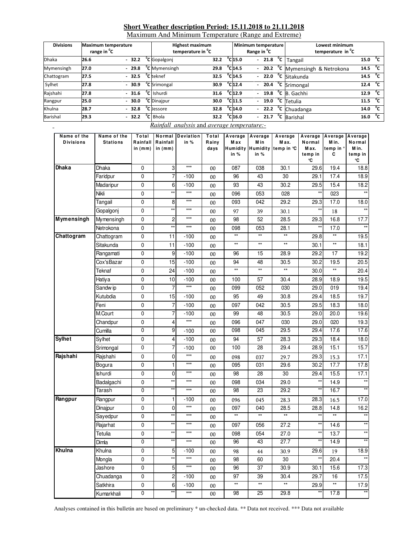#### **Short Weather description Period: 15.11.2018 to 21.11.2018**

Maximum And Minimum Temperature (Range and Extreme)

| <b>Divisions</b> | <b>Maximum temperature</b><br>range in <sup>o</sup> C |         | <b>Highest maximum</b><br>temperature in <sup>o</sup> C |      |                              |  | Minimum temperature<br>Range in <sup>o</sup> C | Lowest minimum<br>temperature in <sup>o</sup> C |      |              |
|------------------|-------------------------------------------------------|---------|---------------------------------------------------------|------|------------------------------|--|------------------------------------------------|-------------------------------------------------|------|--------------|
| <b>Dhaka</b>     | 26.6                                                  | $-32.2$ | <sup>o</sup> C Gopalgonj                                | 32.2 | $^{\circ}$ C <sub>15.0</sub> |  |                                                | $-$ 21.8 $^{\circ}$ C Tangail                   | 15.0 | °c           |
| Mymensingh       | 27.0                                                  | $-29.8$ | <sup>o</sup> C Mymensingh                               | 29.8 | $^{\circ}$ C 14.5            |  |                                                | - 20.2 °C Mymensingh & Netrokona                | 14.5 | $^{\circ}$ c |
| Chattogram       | 27.5                                                  | $-32.5$ | <sup>o</sup> C teknef                                   | 32.5 | $^{\circ}$ C <sub>14.5</sub> |  |                                                | $-22.0$ $-c$ Sitakunda                          | 14.5 | $^{\circ}$ c |
| Sylhet           | 27.8                                                  | $-30.9$ | <sup>o</sup> C Srimongal                                | 30.9 | $^{\circ}$ C <sub>12.4</sub> |  |                                                | $-20.4$ <sup>o</sup> C Srimongal                | 12.4 | °c           |
| Rajshahi         | 27.8                                                  | $-31.6$ | <sup>o</sup> C Ishurdi                                  | 31.6 | $^{\circ}$ C <sub>12.9</sub> |  |                                                | - $19.8 °C$ B. Gachhi                           | 12.9 | $^{\circ}$ c |
| Rangpur          | 25.0                                                  | $-30.0$ | <sup>o</sup> C Dinajpur                                 | 30.0 | $^{\circ}$ C <sub>11.5</sub> |  |                                                | $19.0 °C$ Tetulia                               | 11.5 | $^{\circ}$ c |
| Khulna           | 28.7                                                  | $-32.8$ | <sup>o</sup> C Jessore                                  | 32.8 | $^{\circ}$ C 14.0            |  |                                                | $-$ 22.2 $^{\circ}$ C Chuadanga                 | 14.0 | $^{\circ}$ c |
| Barishal         | 29.3                                                  | $-32.2$ | <sup>o</sup> C Bhola                                    | 32.2 | $^{\circ}$ C <sub>16.0</sub> |  |                                                | - $21.7 \text{ °C}$ Barishal                    | 16.0 | °c           |

#### *Rainfall analysis* and *average temperature:-*

| Name of the<br><b>Divisions</b> | Name of the<br><b>Stations</b> | Total<br>Rainfall<br>in $(mm)$ | Rainfall<br>in $(mm)$   | Normal Deviation<br>in % | Total<br>Rainy<br>days | M a x<br>in %   | Average   Average<br>M in<br>in % | Average<br>M ax.<br>Humidity Humidity temp in °C | Average<br>Normal<br>M ax.<br>temp in<br>℃ | Average Average<br>M in.<br>temp in °<br>C | Normal<br>M in.<br>temp in<br>۰C |
|---------------------------------|--------------------------------|--------------------------------|-------------------------|--------------------------|------------------------|-----------------|-----------------------------------|--------------------------------------------------|--------------------------------------------|--------------------------------------------|----------------------------------|
| Dhaka                           | <b>Dhaka</b>                   | 0                              | 3                       | $***$                    | 00                     | 087             | 038                               | 30.1                                             | 29.6                                       | 19.4                                       | 18.8                             |
|                                 | Faridpur                       | 0                              | 7                       | $-100$                   | 00                     | 96              | 43                                | 30                                               | 29.1                                       | 17.4                                       | 18.9                             |
|                                 | Madaripur                      | 0                              | 6                       | -100                     | 00                     | 93              | 43                                | 30.2                                             | 29.5                                       | 15.4                                       | 18.2                             |
|                                 | Nikli                          | 0                              | **                      | $***$                    | 00                     | 096             | 053                               | 028                                              | $\star\star$                               | 023                                        |                                  |
|                                 | Tangail                        | 0                              | 8                       | $***$                    | 00                     | 093             | 042                               | 29.2                                             | 29.3                                       | 17.0                                       | 18.0                             |
|                                 | Gopalgonj                      | 0                              | $\star\star$            | $***$                    | 00                     | 97              | 39                                | 30.1                                             | $\star\star$                               | 18                                         |                                  |
| Mymensingh                      | Mymensingh                     | 0                              | $\overline{\mathbf{c}}$ | $***$                    | 00                     | 98              | 52                                | 28.5                                             | 29.3                                       | 16.8                                       | 17.7                             |
|                                 | Netrokona                      | 0                              | $\star\star$            | $***$                    | 00                     | 098             | 053                               | 28.1                                             | $***$                                      | 17.0                                       | $^{\star\star}$                  |
| Chattogram                      | Chattogram                     | 0                              | 11                      | -100                     | 00                     | $^{\star\star}$ | $^{\star\star}$                   | $\star\star$                                     | 29.8                                       | $\star\star$                               | 19.5                             |
|                                 | Sitakunda                      | 0                              | 11                      | $-100$                   | 00                     | $^{\star\star}$ | $\star\star$                      | $^{\star\star}$                                  | 30.1                                       | $\star\star$                               | 18.1                             |
|                                 | Rangamati                      | 0                              | 9                       | $-100$                   | 00                     | 96              | 15                                | 28.9                                             | 29.2                                       | 17                                         | 19.2                             |
|                                 | Cox'sBazar                     | 0                              | 15                      | $-100$                   | 00                     | 94              | 48                                | 30.5                                             | 30.2                                       | 19.5                                       | 20.5                             |
|                                 | Teknaf                         | 0                              | 24                      | $-100$                   | 00                     | $^{\star\star}$ | $\star\star$                      | $\star\star$                                     | 30.0                                       | $^{\star\star}$                            | 20.4                             |
|                                 | Hatiya                         | 0                              | 10                      | $-100$                   | 00                     | 100             | 57                                | 30.4                                             | 28.9                                       | 18.9                                       | 19.5                             |
|                                 | Sandw ip                       | 0                              | $\overline{7}$          | $***$                    | 00                     | 099             | 052                               | 030                                              | 29.0                                       | 019                                        | 19.4                             |
|                                 | Kutubdia                       | 0                              | 15                      | $-100$                   | 00                     | 95              | 49                                | 30.8                                             | 29.4                                       | 18.5                                       | 19.7                             |
|                                 | Feni                           | 0                              | $\overline{7}$          | $-100$                   | 00                     | 097             | 042                               | 30.5                                             | 29.5                                       | 18.3                                       | 18.0                             |
|                                 | M.Court                        | 0                              | 7                       | $-100$                   | 00                     | 99              | 48                                | 30.5                                             | 29.0                                       | 20.0                                       | 19.6                             |
|                                 | Chandpur                       | 0                              | 4                       | $***$                    | 00                     | 096             | 047                               | 030                                              | 29.0                                       | 020                                        | 19.3                             |
|                                 | Cumilla                        | 0                              | 9                       | $-100$                   | 00                     | 098             | 045                               | 29.5                                             | 29.4                                       | 17.6                                       | 17.6                             |
| <b>Sylhet</b>                   | Sylhet                         | 0                              | 4                       | $-100$                   | 00                     | 94              | 57                                | 28.3                                             | 29.3                                       | 18.4                                       | 18.0                             |
|                                 | Srimongal                      | 0                              | 7                       | $-100$                   | 00                     | 100             | 28                                | 29.4                                             | 28.9                                       | 15.1                                       | 15.7                             |
| Rajshahi                        | Rajshahi                       | 0                              | $\pmb{0}$               | $***$                    | 00                     | 098             | 037                               | 29.7                                             | 29.3                                       | 15.3                                       | 17.1                             |
|                                 | Bogura                         | 0                              | $\mathbf{1}$            | $***$                    | 00                     | 095             | 031                               | 29.6                                             | 30.2                                       | 17.7                                       | 17.8                             |
|                                 | <b>Ishurdi</b>                 | 0                              | 0                       | $***$                    | 00                     | 98              | 28                                | 30                                               | 29.4                                       | 15.5                                       | 17.1                             |
|                                 | Badalgachi                     | 0                              | $\star\star$            | $***$                    | $00\,$                 | 098             | 034                               | 29.0                                             | $\star\star$                               | 14.9                                       | $\star\star$                     |
|                                 | Tarash                         | 0                              | **                      | $***$                    | 00                     | 98              | 23                                | 29.2                                             | $\star\star$                               | 16.7                                       |                                  |
| Rangpur                         | Rangpur                        | 0                              | 1                       | -100                     | 00                     | 096             | 045                               | 28.3                                             | 28.3                                       | 16.5                                       | 17.0                             |
|                                 | Dinajpur                       | 0                              | 0                       | $***$                    | 00                     | 097             | 040                               | 28.5                                             | 28.8                                       | 14.8                                       | 16.2                             |
|                                 | Sayedpur                       | 0                              | $\star\star$            | $***$                    | 00                     | $^{\star\star}$ | $^{\star\star}$                   | $\star\star$                                     | $\star\star$                               | $\star\star$                               | $\star\star$                     |
|                                 | Rajarhat                       | 0                              | **                      | $***$                    | 00                     | 097             | 056                               | 27.2                                             | $***$                                      | 14.6                                       | $^{\star\star}$                  |
|                                 | Tetulia                        | 0                              | $\star\star$            | $***$                    | $00\,$                 | 098             | 054                               | 27.0                                             | $***$                                      | 13.7                                       | $\star\star$                     |
|                                 | Dimla                          | 0                              | **                      | $\star\star\star$        | 00                     | 96              | 43                                | 27.7                                             | $***$                                      | 14.9                                       | $***$                            |
| Khulna                          | Khulna                         | 0                              | 5                       | $-100$                   | 00                     | 98              | 44                                | 30.9                                             | 29.6                                       | 19                                         | 18.9                             |
|                                 | Mongla                         | 0                              | $\star\star$            | $***$                    | 00                     | 98              | 60                                | 30                                               | $\star\star$                               | 20.4                                       | $\star\star$                     |
|                                 | Jashore                        | 0                              | 5                       | $***$                    | 00                     | 96              | 37                                | 30.9                                             | 30.1                                       | 15.6                                       | 17.3                             |
|                                 | Chuadanga                      | 0                              | 2                       | $-100$                   | 00                     | 97              | 39                                | 30.4                                             | 29.7                                       | 16                                         | 17.5                             |
|                                 | Satkhira                       | 0                              | 6                       | $-100$                   | 00                     | $\star\star$    | $\star\star$                      | $\star\star$                                     | 29.9                                       | $\star\star$                               | 17.9                             |
|                                 | Kumarkhali                     | 0                              | $***$                   | $***$                    | $00\,$                 | 98              | 25                                | 29.8                                             | $^{\star\star}$                            | 17.8                                       | $**$                             |

Analyses contained in this bulletin are based on preliminary \* un-checked data. \*\* Data not received. \*\*\* Data not available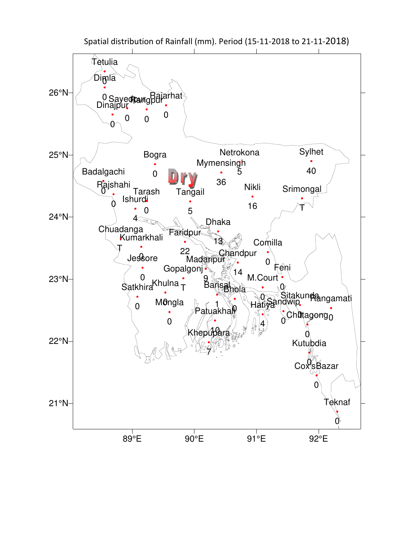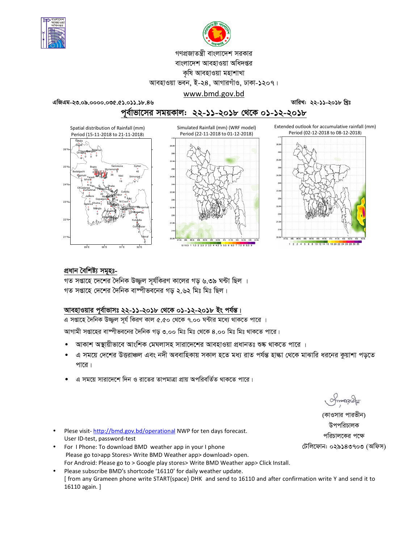



# গণপ্রজাতন্ত্রী বাংলাদেশ সরকার

## বাংলাদেশ আবহাওয়া অধিদপ্তর

#### কৃষি আবহাওয়া মহাশাখা

আবহাওয়া ভবন, ই-২৪, আগারগাঁও, ঢাকা-১২০৭।

## www.bmd.gov.bd

এজিএম-২৩.০৯.০০০০.০৩৫.৫১.০১১.১৮.৪৬

তারিখ: ২২-১১-২০১৮ খ্রিঃ

পূর্বাভাসের সময়কাল: ২২-১১-২০১৮ থেকে ০১-১২-২০১৮







#### প্ৰধান বৈশিষ্ট্য সমূহঃ-

গত সপ্তাহে দেশের দৈনিক উজ্জল সর্যকিরণ কালের গড ৬.৩৯ ঘন্টা ছিল । গত সপ্তাহে দেশের দৈনিক বাষ্পীভবনের গড় ২.৬২ মিঃ মিঃ ছিল।

#### আবহাওয়ার পূর্বাভাসঃ ২২-১১-২০১৮ থেকে ০১-১২-২০১৮ ইং পর্যন্ত।

এ সপ্তাহে দৈনিক উজ্জ্বল সূর্য কিরণ কাল ৫.৫০ থেকে ৭.০০ ঘন্টার মধ্যে থাকতে পারে ।

আগামী সপ্তাহের বাষ্পীভবনের দৈনিক গড় ৩.০০ মিঃ মিঃ থেকে ৪.০০ মিঃ মিঃ থাকতে পারে।

- আকাশ অস্থায়ীভাবে আংশিক মেঘলাসহ সারাদেশের আবহাওয়া প্রধানতঃ শুষ্ক থাকতে পারে ।
- এ সময়ে দেশের উত্তরাঞ্চল এবং নদী অববাহিকায় সকাল হতে মধ্য রাত পর্যন্ত হাল্কা থেকে মাঝারি ধরনের কুয়াশা পড়তে পারে।
- এ সময়ে সারাদেশে দিন ও রাতের তাপমাত্রা প্রায় অপরিবর্তিত থাকতে পারে।

omonach

(কাওসার পারভীন) উপপরিচালক পরিচালকের পক্ষে টেলিফোন: ০২৯১৪৩৭০৩ (অফিস)

- Plese visit-http://bmd.gov.bd/operational NWP for ten days forecast. User ID-test, password-test
- For I Phone: To download BMD weather app in your I phone Please go to>app Stores> Write BMD Weather app> download> open. For Android: Please go to > Google play stores> Write BMD Weather app> Click Install.
- Please subscribe BMD's shortcode '16110' for daily weather update. [from any Grameen phone write START{space} DHK and send to 16110 and after confirmation write Y and send it to 16110 again.]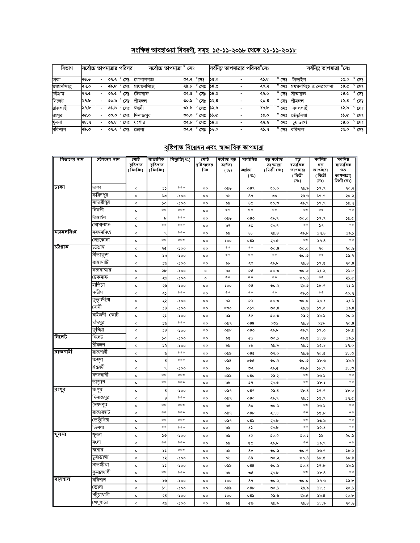# সংক্ষিপ্ত আবহাওয়া বিবরণী, সমূহ ১৫-১১-২০১৮ থেকে ২১-১১-২০১৮

| বিভাগ     | সর্বোচ্চ তাপমাত্রার পরিসর |                          |      |                |            | সৰ্বোচ্চ তাপমাত্ৰা ° সেঃ |                       |             |                          | সর্বনিম্ন তাপমাত্রার পরিসর°সেঃ |                | সর্বনিম্ন তাপমাত্রা °সেঃ |      |                |
|-----------|---------------------------|--------------------------|------|----------------|------------|--------------------------|-----------------------|-------------|--------------------------|--------------------------------|----------------|--------------------------|------|----------------|
| ঢাকা      | ২৬.৬                      | $\overline{\phantom{0}}$ |      | ৩২.২ ° সেঃ     | গোপালগজ্ঞ  | ৩২.২                     | $^\circ$ সেঃ          | ১৫.০        |                          | ২১.৮                           | সেঃ            | টাঙ্গাইল                 | ১৫.০ | $^{\circ}$ সেঃ |
| ময়মনসিংহ | ২৭.০                      |                          | ২৯.৮ | $^{\circ}$ সেঃ | মায়মনসিংহ |                          | ২৯.৮ ° সেঃ            | <b>58.0</b> |                          | ২০.২                           | $^{\circ}$ সেঃ | ময়মনসিংহ ও নেত্রকোনা    | ১৪.৫ | $^{\circ}$ সেঃ |
| চউগ্ৰাম   | ২৭.৫                      |                          | ৩২.৫ | $^{\circ}$ সেঃ | টেকনাফ     |                          | ৩২.৫ ° সেঃ            | 38.0        |                          | ২২.০                           | $^{\circ}$ সেঃ | সীতাকভ                   | ১৪.৫ | $^{\circ}$ সেঃ |
| সিলেট     | ২৭.৮                      | $\overline{\phantom{0}}$ | ৩০.৯ | সেঃ            | শ্ৰীমঙ্গল  |                          | ৩০.৯ ° সেঃ            | ১২.৪        |                          | ২০.৪                           | সেঃ            | শ্ৰীমঙ্গল                | ১২.৪ | সেঃ            |
| রাজশাহী   | ২৭.৮                      |                          | ৩১.৬ | $^{\circ}$ সেঃ | ঈশদী       | ৩১.৬                     | ° সেঃ                 | ১২.৯        |                          | ১৯.৮                           | $^{\circ}$ সেঃ | বদলগাছী                  | ১২.৯ | $^{\circ}$ সেঃ |
| রংপুর     | ২৫.০                      | -                        | 0.00 | $^{\circ}$ সেঃ | দিনাজপুর   |                          | లం. <sup>ం</sup> ధ్యా | ১১.৫        | $\overline{\phantom{a}}$ | ১৯.০                           | $^{\circ}$ সেঃ | তেঁতলিয়া                | ১১.৫ | $^{\circ}$ সেঃ |
| খুলনা     | ২৮.৭                      |                          | ৩২.৮ | সেঃ            | যশোর       | ৩২.৮                     | $^{\circ}$ সেঃ        | 58.0        |                          | ২২.২                           | Ω<br>সেঃ       | চয়াডাঙ্গা               | 0.8  | $^{\circ}$ সেঃ |
| বরিশাল    | ২৯.৩                      | $\overline{\phantom{0}}$ |      | ৩২.২ ° সেঃ     | ভোলা       |                          | ৩২.২ ° সেঃ            | ১৬.০        | $\overline{\phantom{0}}$ | ২১.৭                           | $^{\circ}$ সেঃ | বরিশাল                   | ১৬.০ | $^{\circ}$ সেঃ |

# <u>বৃষ্টিপাত বিশ্লেষন এবং স্বাভাবিক তাপমাত্রা</u>

| বিভাগের নাম | স্টেশনের নাম  | মোট<br>বৃষ্টিপাত<br>( মিঃমিঃ) | ষাভাবিক<br>বৃষ্টিপাত<br>(মিঃমিঃ) | বিছ্যুতি( %) | মোট<br>বৃষ্টিপাতের<br>দিন | সৰ্বোচ্চ গড়<br>আৰ্দ্ৰতা<br>( %) | সৰ্বোনিম্ন<br>আৰ্ঘতা | গড় সৰ্বোচ্চ<br>তাপমাত্রা<br>( ডিগ্ৰী সেঃ) | গড<br>ষভাবিক<br>তাপমাত্রা | সৰ্বনিম্ন<br>গড<br>তাপমাত্রা | সৰ্বনিম্ন<br>ষাভাবিক<br>গড় |
|-------------|---------------|-------------------------------|----------------------------------|--------------|---------------------------|----------------------------------|----------------------|--------------------------------------------|---------------------------|------------------------------|-----------------------------|
|             |               |                               |                                  |              |                           |                                  | ( %)                 |                                            | (ডিগ্ৰী<br>(সঃ)           | (ডিগ্ৰী<br>(সঃ)              | তাপমাত্রা(<br>ডিগ্ৰী সেঃ)   |
| ঢাকা        | ঢাকা          | $\circ$                       | دد                               | $* * *$      | $^{\circ}$                | ০৯৬                              | 089                  | 0.00                                       | ২৯.৯                      | 9.9                          | ২০.২                        |
|             | ফরিদপুর       | $\circ$                       | ১৩                               | $-500$       | $^{\circ}$                | ৯৬                               | 89                   | ৩০                                         | ২৯.৬                      | 9.9                          | ২০.২                        |
|             | মাদারীপুর     | $\circ$                       | ১০                               | -200         | $\circ$                   | ৯৯                               | 8¢                   | 0.00                                       | ২৯.৭                      | 9.9                          | ১৯.৭                        |
|             | নিকলী         | $\circ$                       | $* *$                            | ***          | $\circ$                   | $\ast$ $\ast$                    | $\pm$ $\pm$          | $\ast$ $\ast$                              | $\pm$ $\pm$               | $\ast$ $\ast$                | $* *$                       |
|             | টাঙ্গাইল      | $\circ$                       | $\mathbf b$                      | ***          | $^{\circ}$                | ০৯৬                              | 080                  | ২৯.৭                                       | 0.00                      | 9.9                          | 38.0                        |
|             | গোপালগঞ্জ     | $\circ$                       | $* *$                            | ***          | $\circ$                   | ৯৭                               | 8 <sub>0</sub>       | ২৯.৭                                       | $\pm$ $\pm$               | ১৭                           | **                          |
| ময়মনসিংহ   | ময়মনসিংহ     | $\circ$                       | $\mathsf{P}$                     | ***          | $\circ$                   | ৯৯                               | 8 <sub>b</sub>       | 25.8                                       | ২৯.৮                      | 59.8                         | ১৯.১                        |
|             | নেত্ৰকোনা     | $\circ$                       | $\ast$ $\ast$                    | ***          | $\circ$                   | 500                              | 08 <sub>o</sub>      | ২৯.৫                                       | $**$                      | 59.8                         | $**$                        |
| চট্ৰগ্ৰাম   | চট্টগ্রাম     | $\circ$                       | ২৫                               | -200         | $\circ$                   | $\ast$ $\ast$                    | $\pm$ $\pm$          | 00.8                                       | 0.00                      | ২০                           | ২০.৬                        |
|             | সীতাকুন্ড     | $\circ$                       | ১৯                               | -১০০         | $^{\circ}$                | $* *$                            | $\ast$ $\ast$        | $\pm$ $\pm$                                | ৩০.৩                      | $\ast$ $\ast$                | ১৯.৭                        |
|             | রাঙ্গামাটি    | $\circ$                       | ১৬                               | $-200$       | $\circ$                   | ৯৮                               | ২৩                   | ২৯.৮                                       | 25.8                      | 59.0                         | 20.8                        |
|             | কক্সবাজার     | $\circ$                       | ২৮                               | -১০০         | $\circ$                   | ৯৩                               | 68                   | ৩০.৩                                       | ಲಿ.                       | ২১.২                         | 25.0                        |
|             | টেকনাফ        | $\circ$                       | ২৬                               | -১০০         | $\circ$                   | $**$                             | $**$                 | $\ast$ $\ast$                              | 00.8                      | $\ast\ast$                   | ২১.৫                        |
|             | হাতিয়া       | $\circ$                       | ২৬                               | -১০০         | $^{\circ}$                | 500                              | 68                   | ৩০.২                                       | ২৯.৩                      | 3b.9                         | ২১.১                        |
|             | সন্দ্বীপ      | $\circ$                       | ২১                               | ***          | $^{\circ}$                | $**$                             | **                   | $**$                                       | ২৯.৩                      | **                           | २०.१                        |
|             | কুতুবদীয়া    | $\circ$                       | ২২                               | -200         | $^{\circ}$                | ৯২                               | œ۵                   | 0.00                                       | 0.00                      | ২০.১                         | ২১.১                        |
|             | কেনী          | $\circ$                       | $\sqrt{8}$                       | $-200$       | $\circ$                   | $\circ \circ \circ$              | ०১৭                  | 00.8                                       | ২৯.৬                      | 39.0                         | 55.8                        |
|             | মাইজদী (কার্ট | $\circ$                       | ২১                               | -200         | $\circ$                   | ৯৯                               | 8¢                   | ಲಿ.೦                                       | ২৯.২                      | ১৯.১                         | ২০.৬                        |
|             | চাঁদপুর       | $\circ$                       | ১৬                               | ***          | $\circ$                   | ০৯৭                              | 088                  | ০৩১                                        | 25.8                      | ০১৯                          | 20.8                        |
|             | কুমিল্লা      | $\circ$                       | $\sqrt{8}$                       | -১০০         | $^{\circ}$                | ০৯৮                              | 080                  | ২৯.৮                                       | ২৯.৭                      | 0.9C                         | 3b.5                        |
| সিলেট       | সিলেট         | $\circ$                       | $\mathcal{L}$                    | -১০০         | $^{\circ}$                | ৯৫                               | ¢۵                   | 00.5                                       | ২৯.৫                      | 3b.9                         | 38.3                        |
|             | শ্ৰীমঙ্গল     | $\circ$                       | ډډ                               | $-200$       | $\circ \circ$             | ৯৯                               | 8 <sub>o</sub>       | ২৯.৯                                       | ২৯.১                      | 36.8                         | 59.0                        |
| রাজশাহী     | রাজশাহী       | $\circ$                       | ىل                               | $* * *$      | $\circ$                   | ০৯৯                              | 08¢                  | ৩২.০                                       | ২৯.৬                      | ১.০২                         | 5b.9                        |
|             | বগুডা         | $\circ$                       | 8                                | ***          | $\circ$                   | $\circ$ ৯8                       | ০৩৫                  | ৩০.২                                       | ৩০.৩                      | 3b.9                         | ১৯.২                        |
|             | ঈশ্বরদী       | $\circ$                       | ٩                                | -200         | $^{\circ}$                | ৯৮                               | ৩২                   | ২৯.৫                                       | ২৯.৮                      | 3b.9                         | 5b.9                        |
|             | বদলগাদ্বী     | $\circ$                       | $* *$                            | ***          | $\circ$                   | ০৯৯                              | 080                  | ২৯.২                                       | $\ast$ $\ast$             | 38.5                         | $**$                        |
|             | তাডাশ         | $\circ$                       | $* *$                            | ***          | $^{\circ}$                | ৯৮                               | ৩৭                   | ২৯.৩                                       | $**$                      | 3b.5                         | $**$                        |
| রংপুর       | রংপুর         | $\circ$                       | 8                                | -১০০         | $^{\circ}$                | ০৯৭                              | 089                  | ২৯.৪                                       | 2b.8                      | 9.9                          | 5b.0                        |
|             | দিনাজপুর      | $\circ$                       | 8                                | ***          | $^{\circ}$                | ০৯৭                              | 080                  | ২৯.৭                                       | ২৯.১                      | 9.96                         | 39.0                        |
|             | সৈয়দপুর      | $\circ$                       | $\ast$ $\ast$                    | ***          | $^{\circ}$                | ৯৫                               | 8 <sub>0</sub>       | 00.5                                       | $* *$                     | 38.5                         | $* *$                       |
|             | রাজারহাট      | $\circ$                       | $\ast\ast$                       | ***          | $\circ \circ$             | ০৯৭                              | 08 <sub>b</sub>      | ২৮.৮                                       | $* *$                     | 20.5                         | $* *$                       |
|             | তেতুঁলিয়া    | $\circ$                       | $* *$                            | ***          | $\circ$                   | ০৯৭                              | $08\lambda$          | ২৯.৮                                       | $**$                      | 50.5                         | $**$                        |
|             | ডিমলা         | $\circ$                       | $* *$                            | ***          | 00                        | ৯৬                               | 85                   | ২৯.৮                                       | $**$                      | 36.8                         | $**$                        |
| থুলনা       | থুলনা         | $\circ$                       | ১৩                               | -200         | $\circ$                   | ৯৯                               | 8¢                   | 0.00                                       | 00.5                      | ১৯                           | ২০.১                        |
|             | মংলা          | $\circ$                       | **                               | ***          | $\circ \circ$             | ৯৯                               | QG                   | ২৯.৮                                       | $**$                      | 38.9                         | $**$                        |
|             | যশোর          | $\circ$                       | دد                               | $* * *$      | $^{\circ}$                | ৯৬                               | 8 <sub>b</sub>       | ৩০.৯                                       | 00.9                      | 38.9                         | 3b.9                        |
|             | চুয়াডাঙ্গা   | $\circ$                       | ১২                               | $-200$       | $^{\circ}$                | ৯৬                               | 88                   | ৩০.২                                       | 00.8                      | 3b.0                         | 5b.5                        |
|             | সাতস্কীরা     | $\circ$                       | دد                               | -200         | $^{\circ}$                | ০৯৯                              | 088                  | ৩০.৬                                       | 00.8                      | 39.b                         | ১৯.১                        |
|             | কুমারথালী     | $\circ$                       | **                               | ***          | $^{\circ}$                | ৯৮                               | $\mathcal{S}^8$      | ২৯.৮                                       | $**$                      | 56.8                         | **                          |
| ববিশাল      | বরিশাল        | $\circ$                       | ১৬                               | -200         | $\circ \circ$             | ১০০                              | 8۹                   | ৩০.২                                       | 0.00                      | 39.6                         | ১৯.৮                        |
|             | ভোলা          | o                             | $\mathsf{S} \mathsf{G}$          | -200         | $^{\circ}$                | ০৯৯                              | 08 <sub>b</sub>      | ৩০.১                                       | ২৯.৯                      | 3b.5                         | ২০.১                        |
|             | পটুয়াথালী    | $\circ$                       | ২8                               | $-200$       | 0 <sup>o</sup>            | 500                              | 08 <sub>0</sub>      | ২৯.৬                                       | ২৯.৫                      | 55.8                         | ২০.৮                        |
|             | খেপুপাড়া     | о                             | ২৬                               | -200         | $^{\circ}$                | ৯৯                               | ৫৯                   | ২৯.৯                                       | 25.8                      | ১৮.৯                         | ২০.৬                        |